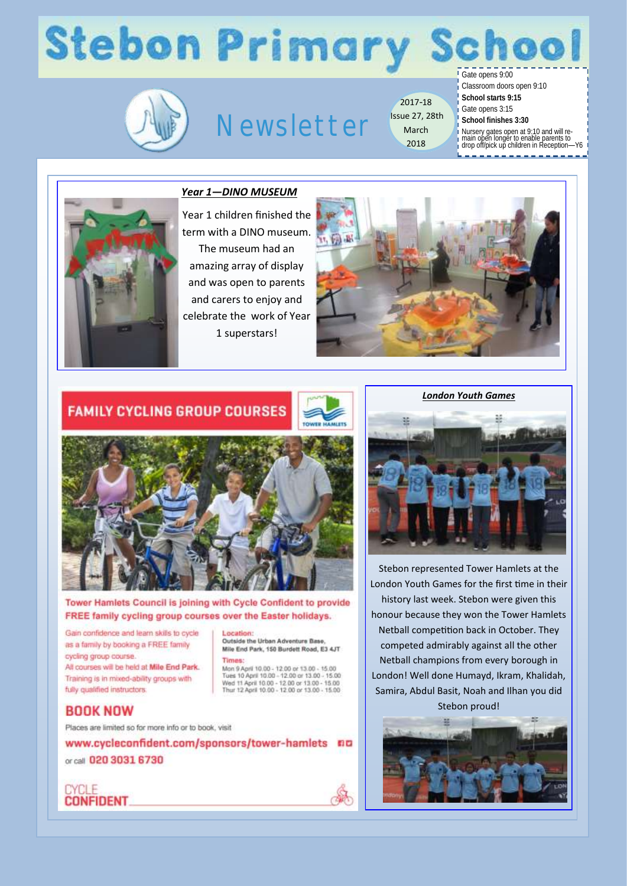# **Stebon Primary School**



### Newsletter

2017-18 Issue 27, 28th March 2018

Gate opens 9:00

Classroom doors open 9:10

- **School starts 9:15**
- Gate opens 3:15 **School finishes 3:30**
	-
- Nursery gates open at 9:10 and will re-main open longer to enable parents to drop off/pick up children in Reception—Y6
- 



#### *Year 1—DINO MUSEUM*

Year 1 children finished the term with a DINO museum. The museum had an amazing array of display and was open to parents and carers to enjoy and celebrate the work of Year 1 superstars!



#### **FAMILY CYCLING GROUP COURSES**



Tower Hamlets Council is joining with Cycle Confident to provide FREE family cycling group courses over the Easter holidays.

Gain confidence and learn skills to cycle as a family by booking a FREE family cycling group course.

All courses will be held at Mile End Park. Training is in mixed-ability groups with fully qualified instructors.

Location: Outside the Urban Adventure Base, Mile End Park, 150 Burdett Road, E3 4JT Times:

Mon 9 April 10:00 - 12:00 or 13:00 - 15:00 Tues 10 April 10.00 - 12.00 or 13.00 - 15.00<br>Wed 11 April 10.00 - 12.00 or 13.00 - 15.00<br>Thur 12 April 10.00 - 12.00 or 13.00 - 15.00

Â

#### **BOOK NOW**

Places are limited so for more info or to book, visit

www.cycleconfident.com/sponsors/tower-hamlets nn or call 020 3031 6730





Stebon represented Tower Hamlets at the London Youth Games for the first time in their history last week. Stebon were given this honour because they won the Tower Hamlets Netball competition back in October. They competed admirably against all the other Netball champions from every borough in London! Well done Humayd, Ikram, Khalidah, Samira, Abdul Basit, Noah and Ilhan you did Stebon proud!